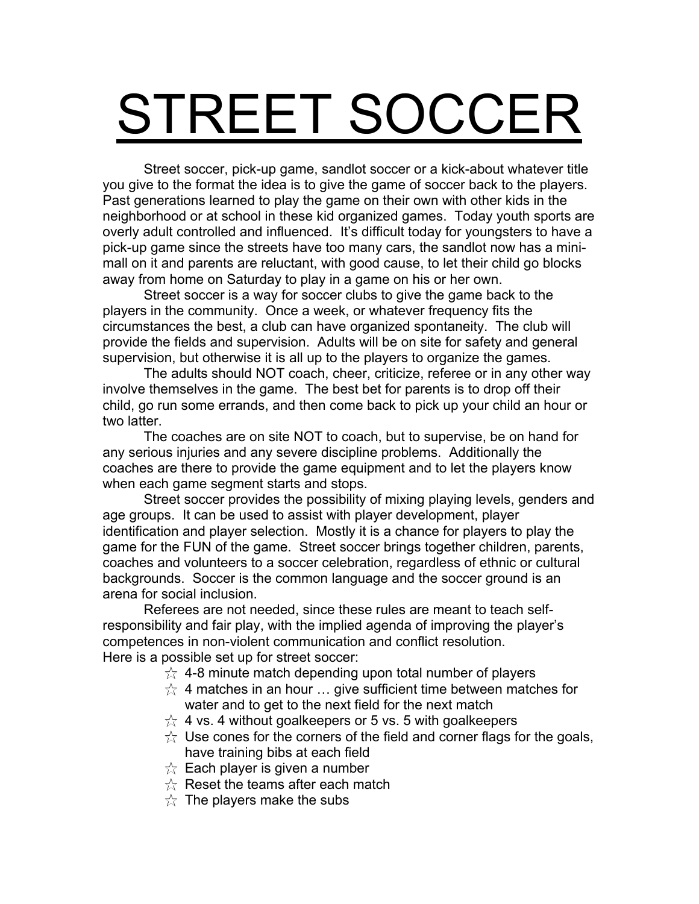# STREET SOCCER

Street soccer, pick-up game, sandlot soccer or a kick-about whatever title you give to the format the idea is to give the game of soccer back to the players. Past generations learned to play the game on their own with other kids in the neighborhood or at school in these kid organized games. Today youth sports are overly adult controlled and influenced. It's difficult today for youngsters to have a pick-up game since the streets have too many cars, the sandlot now has a minimall on it and parents are reluctant, with good cause, to let their child go blocks away from home on Saturday to play in a game on his or her own.

Street soccer is a way for soccer clubs to give the game back to the players in the community. Once a week, or whatever frequency fits the circumstances the best, a club can have organized spontaneity. The club will provide the fields and supervision. Adults will be on site for safety and general supervision, but otherwise it is all up to the players to organize the games.

The adults should NOT coach, cheer, criticize, referee or in any other way involve themselves in the game. The best bet for parents is to drop off their child, go run some errands, and then come back to pick up your child an hour or two latter.

The coaches are on site NOT to coach, but to supervise, be on hand for any serious injuries and any severe discipline problems. Additionally the coaches are there to provide the game equipment and to let the players know when each game segment starts and stops.

Street soccer provides the possibility of mixing playing levels, genders and age groups. It can be used to assist with player development, player identification and player selection. Mostly it is a chance for players to play the game for the FUN of the game. Street soccer brings together children, parents, coaches and volunteers to a soccer celebration, regardless of ethnic or cultural backgrounds. Soccer is the common language and the soccer ground is an arena for social inclusion.

Referees are not needed, since these rules are meant to teach selfresponsibility and fair play, with the implied agenda of improving the player's competences in non-violent communication and conflict resolution. Here is a possible set up for street soccer:

- $\&$  4-8 minute match depending upon total number of players
- $\&$  4 matches in an hour ... give sufficient time between matches for water and to get to the next field for the next match
- $\chi$  4 vs. 4 without goalkeepers or 5 vs. 5 with goalkeepers
- $\forall$  Use cones for the corners of the field and corner flags for the goals, have training bibs at each field
- $\frac{1}{\sqrt{2}}$  Each player is given a number
- $\chi$  Reset the teams after each match
- $\frac{1}{\sqrt{2}}$  The players make the subs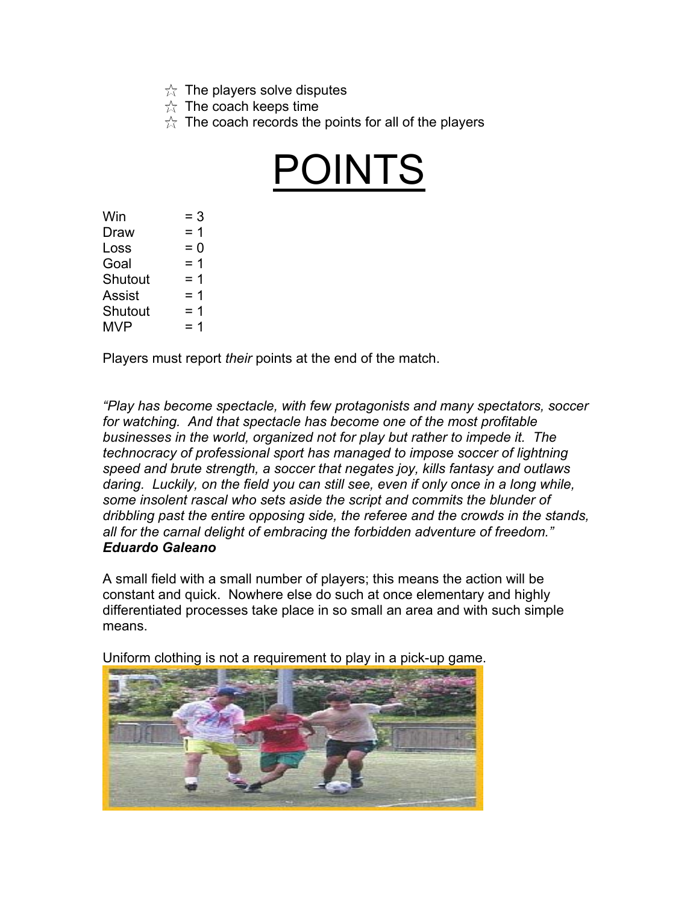- $\chi$  The players solve disputes
- $\chi$  The coach keeps time
- $\forall$  The coach records the points for all of the players

## POINTS

| Win           | = 3   |
|---------------|-------|
| Draw          | = 1   |
| Loss          | $= 0$ |
| Goal          | $= 1$ |
| Shutout       | = 1   |
| <b>Assist</b> | $= 1$ |
| Shutout       | = 1   |
| MVP           | = 1   |

Players must report *their* points at the end of the match.

*"Play has become spectacle, with few protagonists and many spectators, soccer for watching. And that spectacle has become one of the most profitable businesses in the world, organized not for play but rather to impede it. The technocracy of professional sport has managed to impose soccer of lightning speed and brute strength, a soccer that negates joy, kills fantasy and outlaws daring. Luckily, on the field you can still see, even if only once in a long while, some insolent rascal who sets aside the script and commits the blunder of dribbling past the entire opposing side, the referee and the crowds in the stands, all for the carnal delight of embracing the forbidden adventure of freedom." Eduardo Galeano* 

A small field with a small number of players; this means the action will be constant and quick. Nowhere else do such at once elementary and highly differentiated processes take place in so small an area and with such simple means.

Uniform clothing is not a requirement to play in a pick-up game.

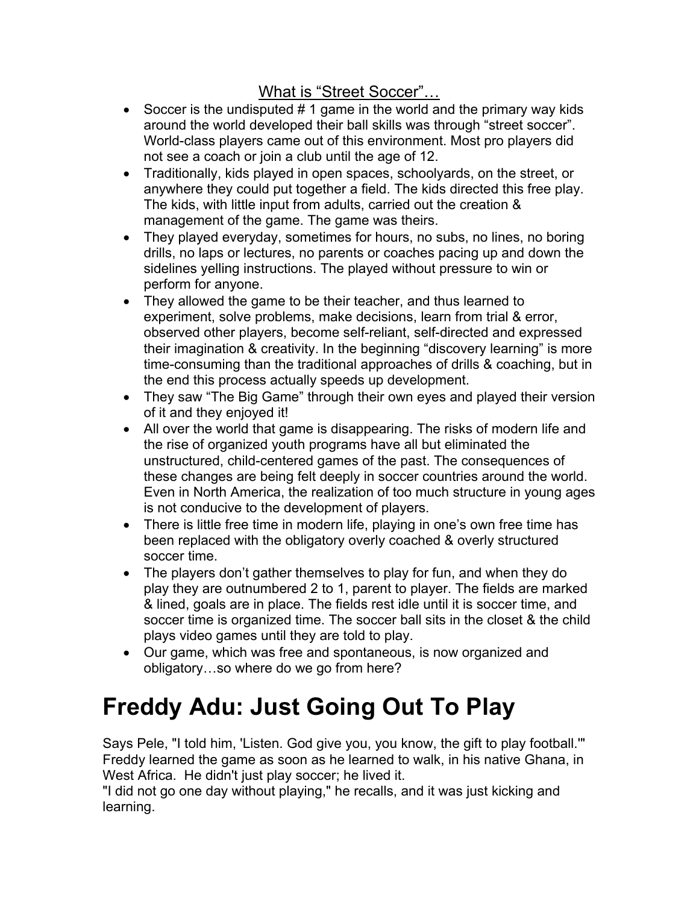#### What is "Street Soccer"…

- Soccer is the undisputed  $# 1$  game in the world and the primary way kids around the world developed their ball skills was through "street soccer". World-class players came out of this environment. Most pro players did not see a coach or join a club until the age of 12.
- Traditionally, kids played in open spaces, schoolyards, on the street, or anywhere they could put together a field. The kids directed this free play. The kids, with little input from adults, carried out the creation & management of the game. The game was theirs.
- They played everyday, sometimes for hours, no subs, no lines, no boring drills, no laps or lectures, no parents or coaches pacing up and down the sidelines yelling instructions. The played without pressure to win or perform for anyone.
- They allowed the game to be their teacher, and thus learned to experiment, solve problems, make decisions, learn from trial & error, observed other players, become self-reliant, self-directed and expressed their imagination & creativity. In the beginning "discovery learning" is more time-consuming than the traditional approaches of drills & coaching, but in the end this process actually speeds up development.
- They saw "The Big Game" through their own eyes and played their version of it and they enjoyed it!
- All over the world that game is disappearing. The risks of modern life and the rise of organized youth programs have all but eliminated the unstructured, child-centered games of the past. The consequences of these changes are being felt deeply in soccer countries around the world. Even in North America, the realization of too much structure in young ages is not conducive to the development of players.
- There is little free time in modern life, playing in one's own free time has been replaced with the obligatory overly coached & overly structured soccer time.
- The players don't gather themselves to play for fun, and when they do play they are outnumbered 2 to 1, parent to player. The fields are marked & lined, goals are in place. The fields rest idle until it is soccer time, and soccer time is organized time. The soccer ball sits in the closet & the child plays video games until they are told to play.
- Our game, which was free and spontaneous, is now organized and obligatory…so where do we go from here?

### **Freddy Adu: Just Going Out To Play**

Says Pele, "I told him, 'Listen. God give you, you know, the gift to play football.'" Freddy learned the game as soon as he learned to walk, in his native Ghana, in West Africa. He didn't just play soccer; he lived it.

"I did not go one day without playing," he recalls, and it was just kicking and learning.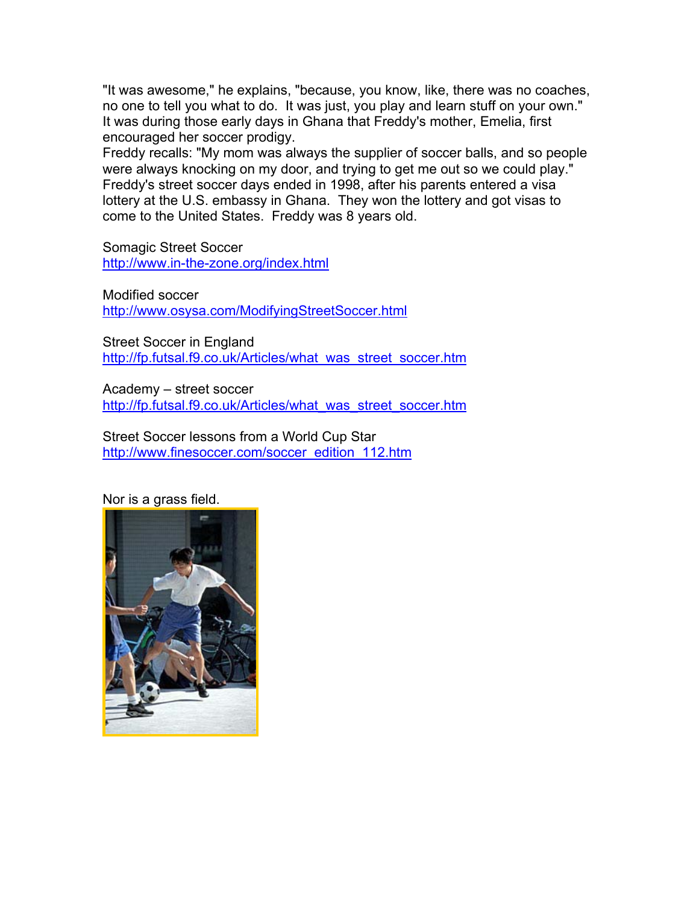"It was awesome," he explains, "because, you know, like, there was no coaches, no one to tell you what to do. It was just, you play and learn stuff on your own." It was during those early days in Ghana that Freddy's mother, Emelia, first encouraged her soccer prodigy.

Freddy recalls: "My mom was always the supplier of soccer balls, and so people were always knocking on my door, and trying to get me out so we could play." Freddy's street soccer days ended in 1998, after his parents entered a visa lottery at the U.S. embassy in Ghana. They won the lottery and got visas to come to the United States. Freddy was 8 years old.

Somagic Street Soccer <http://www.in-the-zone.org/index.html>

Modified soccer <http://www.osysa.com/ModifyingStreetSoccer.html>

Street Soccer in England [http://fp.futsal.f9.co.uk/Articles/what\\_was\\_street\\_soccer.htm](http://fp.futsal.f9.co.uk/Articles/what_was_street_soccer.htm)

Academy – street soccer [http://fp.futsal.f9.co.uk/Articles/what\\_was\\_street\\_soccer.htm](http://fp.futsal.f9.co.uk/Articles/what_was_street_soccer.htm)

Street Soccer lessons from a World Cup Star [http://www.finesoccer.com/soccer\\_edition\\_112.htm](http://www.finesoccer.com/soccer_edition_112.htm)

#### Nor is a grass field.

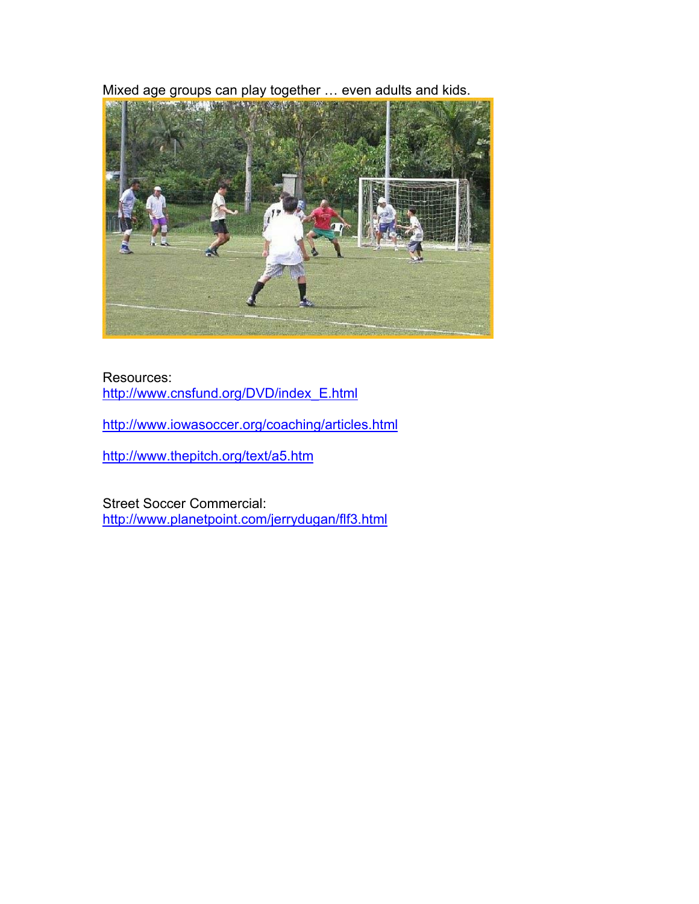Mixed age groups can play together ... even adults and kids.<br>Not have a set that with a set of the set of the set of the set of the set of the set of the set of the set of



Resources: [http://www.cnsfund.org/DVD/index\\_E.html](http://www.cnsfund.org/DVD/index_E.html)

<http://www.iowasoccer.org/coaching/articles.html>

<http://www.thepitch.org/text/a5.htm>

Street Soccer Commercial: <http://www.planetpoint.com/jerrydugan/flf3.html>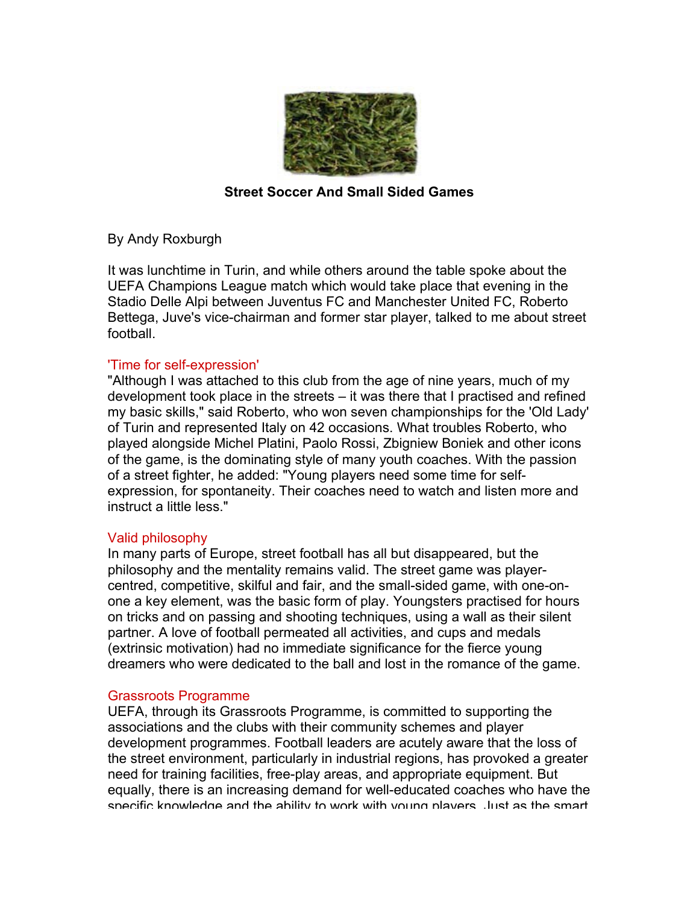

#### **Street Soccer And Small Sided Games**

By Andy Roxburgh

It was lunchtime in Turin, and while others around the table spoke about the UEFA Champions League match which would take place that evening in the Stadio Delle Alpi between Juventus FC and Manchester United FC, Roberto Bettega, Juve's vice-chairman and former star player, talked to me about street football.

#### 'Time for self-expression'

"Although I was attached to this club from the age of nine years, much of my development took place in the streets – it was there that I practised and refined my basic skills," said Roberto, who won seven championships for the 'Old Lady' of Turin and represented Italy on 42 occasions. What troubles Roberto, who played alongside Michel Platini, Paolo Rossi, Zbigniew Boniek and other icons of the game, is the dominating style of many youth coaches. With the passion of a street fighter, he added: "Young players need some time for selfexpression, for spontaneity. Their coaches need to watch and listen more and instruct a little less."

#### Valid philosophy

In many parts of Europe, street football has all but disappeared, but the philosophy and the mentality remains valid. The street game was playercentred, competitive, skilful and fair, and the small-sided game, with one-onone a key element, was the basic form of play. Youngsters practised for hours on tricks and on passing and shooting techniques, using a wall as their silent partner. A love of football permeated all activities, and cups and medals (extrinsic motivation) had no immediate significance for the fierce young dreamers who were dedicated to the ball and lost in the romance of the game.

#### Grassroots Programme

UEFA, through its Grassroots Programme, is committed to supporting the associations and the clubs with their community schemes and player development programmes. Football leaders are acutely aware that the loss of the street environment, particularly in industrial regions, has provoked a greater need for training facilities, free-play areas, and appropriate equipment. But equally, there is an increasing demand for well-educated coaches who have the specific knowledge and the ability to work with young players Just as the smart